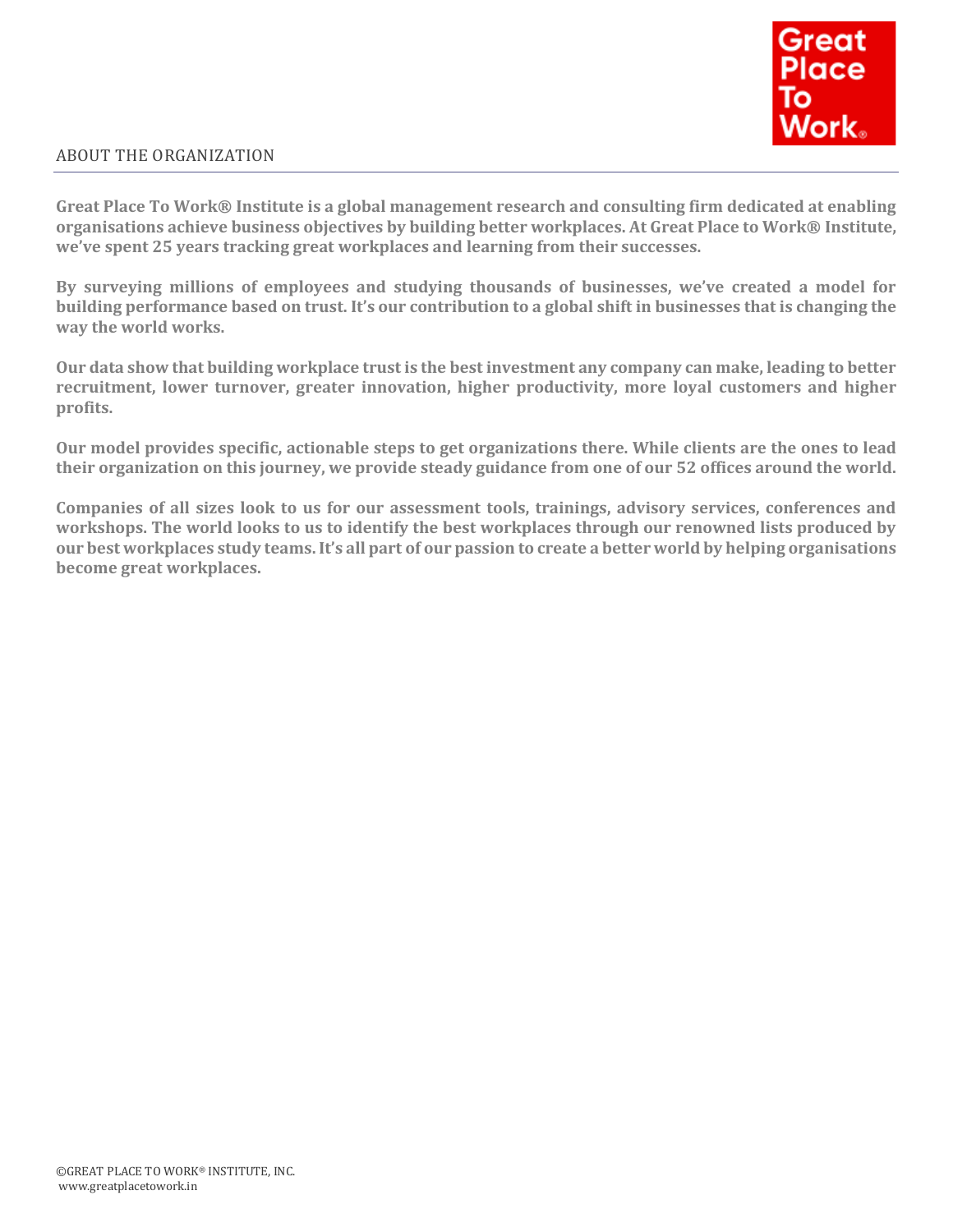

# ABOUT THE ORGANIZATION

**Great Place To Work® Institute is a global management research and consulting firm dedicated at enabling organisations achieve business objectives by building better workplaces. At Great Place to Work® Institute, we've spent 25 years tracking great workplaces and learning from their successes.**

**By surveying millions of employees and studying thousands of businesses, we've created a model for building performance based on trust. It's our contribution to a global shift in businesses that is changing the way the world works.**

**Our data show that building workplace trust is the best investment any company can make, leading to better recruitment, lower turnover, greater innovation, higher productivity, more loyal customers and higher profits.**

**Our model provides specific, actionable steps to get organizations there. While clients are the ones to lead their organization on this journey, we provide steady guidance from one of our 52 offices around the world.**

**Companies of all sizes look to us for our assessment tools, trainings, advisory services, conferences and workshops. The world looks to us to identify the best workplaces through our renowned lists produced by our best workplaces study teams. It's all part of our passion to create a better world by helping organisations become great workplaces.**